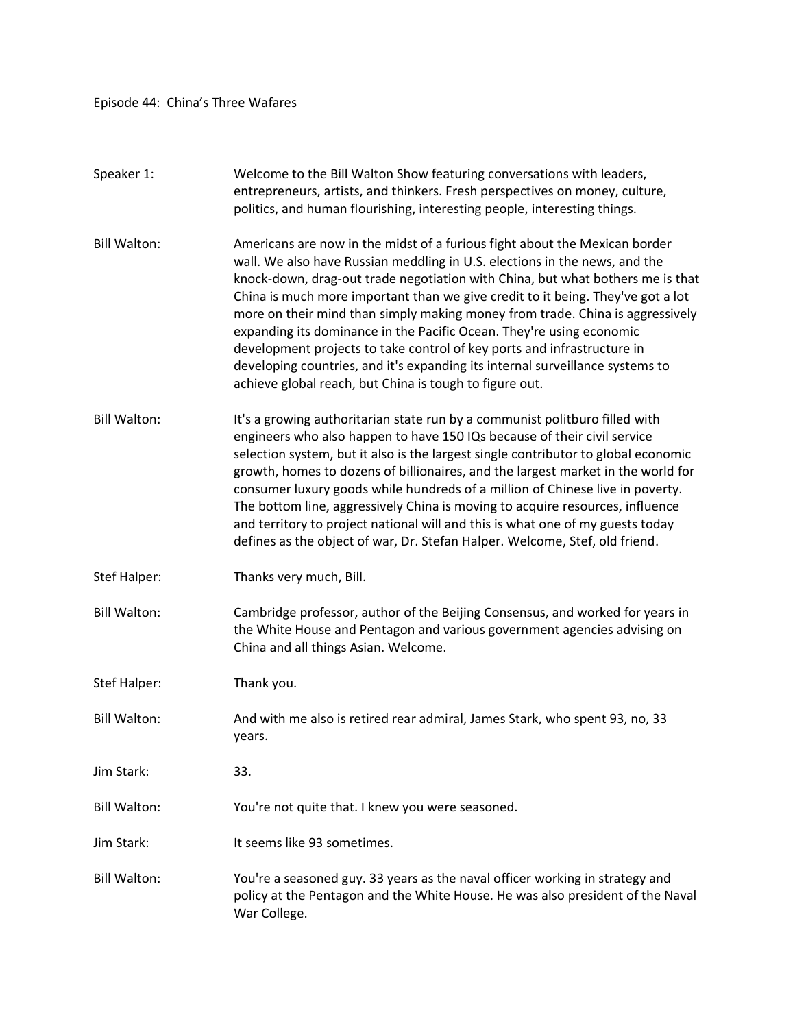Episode 44: China's Three Wafares

| Speaker 1:          | Welcome to the Bill Walton Show featuring conversations with leaders,<br>entrepreneurs, artists, and thinkers. Fresh perspectives on money, culture,<br>politics, and human flourishing, interesting people, interesting things.                                                                                                                                                                                                                                                                                                                                                                                                                                                                              |
|---------------------|---------------------------------------------------------------------------------------------------------------------------------------------------------------------------------------------------------------------------------------------------------------------------------------------------------------------------------------------------------------------------------------------------------------------------------------------------------------------------------------------------------------------------------------------------------------------------------------------------------------------------------------------------------------------------------------------------------------|
| <b>Bill Walton:</b> | Americans are now in the midst of a furious fight about the Mexican border<br>wall. We also have Russian meddling in U.S. elections in the news, and the<br>knock-down, drag-out trade negotiation with China, but what bothers me is that<br>China is much more important than we give credit to it being. They've got a lot<br>more on their mind than simply making money from trade. China is aggressively<br>expanding its dominance in the Pacific Ocean. They're using economic<br>development projects to take control of key ports and infrastructure in<br>developing countries, and it's expanding its internal surveillance systems to<br>achieve global reach, but China is tough to figure out. |
| <b>Bill Walton:</b> | It's a growing authoritarian state run by a communist politburo filled with<br>engineers who also happen to have 150 IQs because of their civil service<br>selection system, but it also is the largest single contributor to global economic<br>growth, homes to dozens of billionaires, and the largest market in the world for<br>consumer luxury goods while hundreds of a million of Chinese live in poverty.<br>The bottom line, aggressively China is moving to acquire resources, influence<br>and territory to project national will and this is what one of my guests today<br>defines as the object of war, Dr. Stefan Halper. Welcome, Stef, old friend.                                          |
| Stef Halper:        | Thanks very much, Bill.                                                                                                                                                                                                                                                                                                                                                                                                                                                                                                                                                                                                                                                                                       |
| <b>Bill Walton:</b> | Cambridge professor, author of the Beijing Consensus, and worked for years in<br>the White House and Pentagon and various government agencies advising on<br>China and all things Asian. Welcome.                                                                                                                                                                                                                                                                                                                                                                                                                                                                                                             |
| Stef Halper:        | Thank you.                                                                                                                                                                                                                                                                                                                                                                                                                                                                                                                                                                                                                                                                                                    |
| <b>Bill Walton:</b> | And with me also is retired rear admiral, James Stark, who spent 93, no, 33<br>years.                                                                                                                                                                                                                                                                                                                                                                                                                                                                                                                                                                                                                         |
| Jim Stark:          | 33.                                                                                                                                                                                                                                                                                                                                                                                                                                                                                                                                                                                                                                                                                                           |
| <b>Bill Walton:</b> | You're not quite that. I knew you were seasoned.                                                                                                                                                                                                                                                                                                                                                                                                                                                                                                                                                                                                                                                              |
| Jim Stark:          | It seems like 93 sometimes.                                                                                                                                                                                                                                                                                                                                                                                                                                                                                                                                                                                                                                                                                   |
| <b>Bill Walton:</b> | You're a seasoned guy. 33 years as the naval officer working in strategy and<br>policy at the Pentagon and the White House. He was also president of the Naval<br>War College.                                                                                                                                                                                                                                                                                                                                                                                                                                                                                                                                |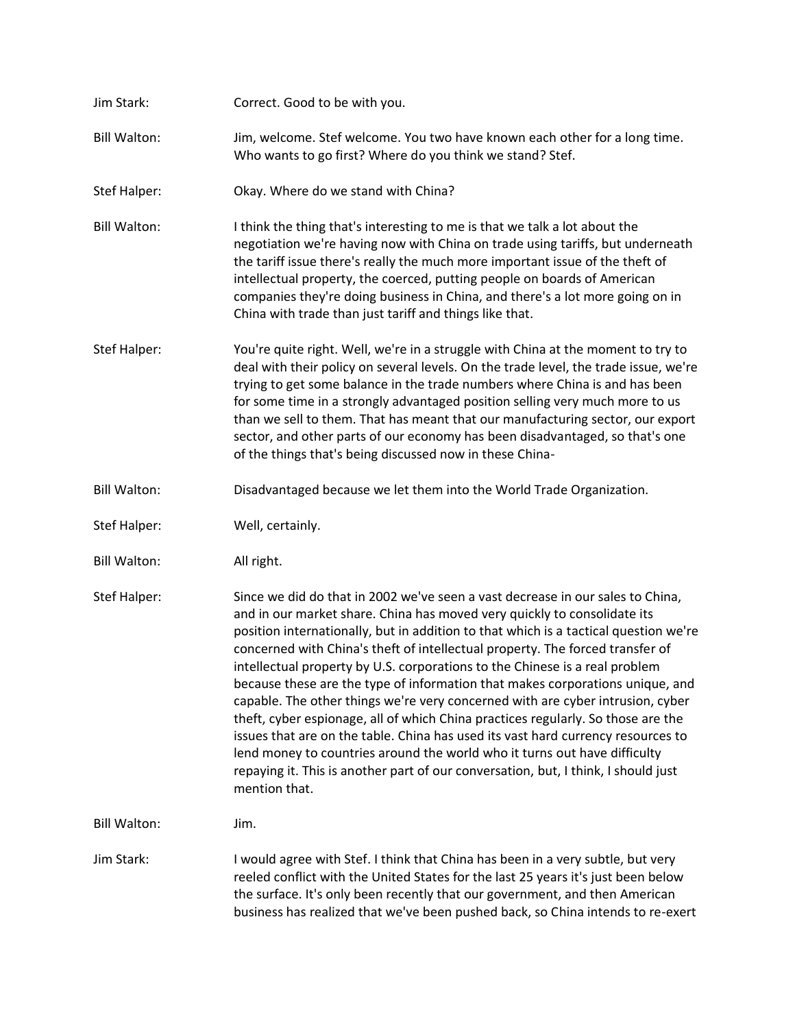| Jim Stark:          | Correct. Good to be with you.                                                                                                                                                                                                                                                                                                                                                                                                                                                                                                                                                                                                                                                                                                                                                                                                                                                                                                                     |
|---------------------|---------------------------------------------------------------------------------------------------------------------------------------------------------------------------------------------------------------------------------------------------------------------------------------------------------------------------------------------------------------------------------------------------------------------------------------------------------------------------------------------------------------------------------------------------------------------------------------------------------------------------------------------------------------------------------------------------------------------------------------------------------------------------------------------------------------------------------------------------------------------------------------------------------------------------------------------------|
| <b>Bill Walton:</b> | Jim, welcome. Stef welcome. You two have known each other for a long time.<br>Who wants to go first? Where do you think we stand? Stef.                                                                                                                                                                                                                                                                                                                                                                                                                                                                                                                                                                                                                                                                                                                                                                                                           |
| Stef Halper:        | Okay. Where do we stand with China?                                                                                                                                                                                                                                                                                                                                                                                                                                                                                                                                                                                                                                                                                                                                                                                                                                                                                                               |
| <b>Bill Walton:</b> | I think the thing that's interesting to me is that we talk a lot about the<br>negotiation we're having now with China on trade using tariffs, but underneath<br>the tariff issue there's really the much more important issue of the theft of<br>intellectual property, the coerced, putting people on boards of American<br>companies they're doing business in China, and there's a lot more going on in<br>China with trade than just tariff and things like that.                                                                                                                                                                                                                                                                                                                                                                                                                                                                             |
| Stef Halper:        | You're quite right. Well, we're in a struggle with China at the moment to try to<br>deal with their policy on several levels. On the trade level, the trade issue, we're<br>trying to get some balance in the trade numbers where China is and has been<br>for some time in a strongly advantaged position selling very much more to us<br>than we sell to them. That has meant that our manufacturing sector, our export<br>sector, and other parts of our economy has been disadvantaged, so that's one<br>of the things that's being discussed now in these China-                                                                                                                                                                                                                                                                                                                                                                             |
| <b>Bill Walton:</b> | Disadvantaged because we let them into the World Trade Organization.                                                                                                                                                                                                                                                                                                                                                                                                                                                                                                                                                                                                                                                                                                                                                                                                                                                                              |
| Stef Halper:        | Well, certainly.                                                                                                                                                                                                                                                                                                                                                                                                                                                                                                                                                                                                                                                                                                                                                                                                                                                                                                                                  |
| <b>Bill Walton:</b> | All right.                                                                                                                                                                                                                                                                                                                                                                                                                                                                                                                                                                                                                                                                                                                                                                                                                                                                                                                                        |
| Stef Halper:        | Since we did do that in 2002 we've seen a vast decrease in our sales to China,<br>and in our market share. China has moved very quickly to consolidate its<br>position internationally, but in addition to that which is a tactical question we're<br>concerned with China's theft of intellectual property. The forced transfer of<br>intellectual property by U.S. corporations to the Chinese is a real problem<br>because these are the type of information that makes corporations unique, and<br>capable. The other things we're very concerned with are cyber intrusion, cyber<br>theft, cyber espionage, all of which China practices regularly. So those are the<br>issues that are on the table. China has used its vast hard currency resources to<br>lend money to countries around the world who it turns out have difficulty<br>repaying it. This is another part of our conversation, but, I think, I should just<br>mention that. |
| <b>Bill Walton:</b> | Jim.                                                                                                                                                                                                                                                                                                                                                                                                                                                                                                                                                                                                                                                                                                                                                                                                                                                                                                                                              |
| Jim Stark:          | I would agree with Stef. I think that China has been in a very subtle, but very<br>reeled conflict with the United States for the last 25 years it's just been below<br>the surface. It's only been recently that our government, and then American<br>business has realized that we've been pushed back, so China intends to re-exert                                                                                                                                                                                                                                                                                                                                                                                                                                                                                                                                                                                                            |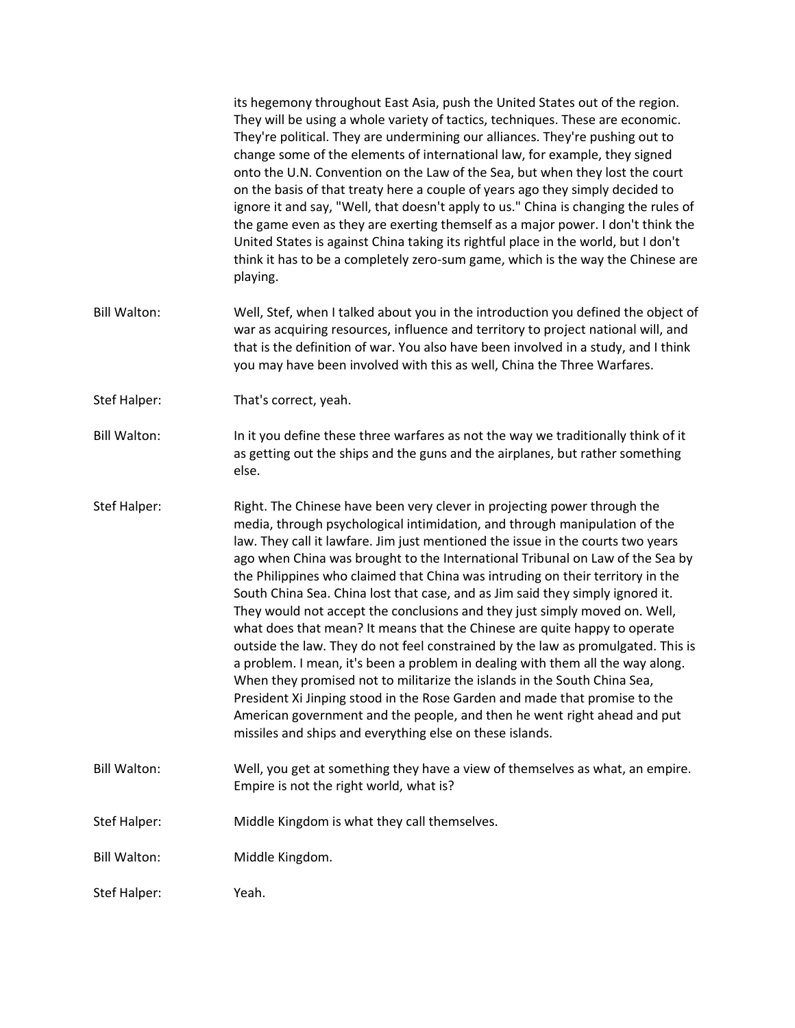|                     | its hegemony throughout East Asia, push the United States out of the region.<br>They will be using a whole variety of tactics, techniques. These are economic.<br>They're political. They are undermining our alliances. They're pushing out to<br>change some of the elements of international law, for example, they signed<br>onto the U.N. Convention on the Law of the Sea, but when they lost the court<br>on the basis of that treaty here a couple of years ago they simply decided to<br>ignore it and say, "Well, that doesn't apply to us." China is changing the rules of<br>the game even as they are exerting themself as a major power. I don't think the<br>United States is against China taking its rightful place in the world, but I don't<br>think it has to be a completely zero-sum game, which is the way the Chinese are<br>playing.                                                                                                                                                                                                                                                                     |
|---------------------|-----------------------------------------------------------------------------------------------------------------------------------------------------------------------------------------------------------------------------------------------------------------------------------------------------------------------------------------------------------------------------------------------------------------------------------------------------------------------------------------------------------------------------------------------------------------------------------------------------------------------------------------------------------------------------------------------------------------------------------------------------------------------------------------------------------------------------------------------------------------------------------------------------------------------------------------------------------------------------------------------------------------------------------------------------------------------------------------------------------------------------------|
| <b>Bill Walton:</b> | Well, Stef, when I talked about you in the introduction you defined the object of<br>war as acquiring resources, influence and territory to project national will, and<br>that is the definition of war. You also have been involved in a study, and I think<br>you may have been involved with this as well, China the Three Warfares.                                                                                                                                                                                                                                                                                                                                                                                                                                                                                                                                                                                                                                                                                                                                                                                           |
| Stef Halper:        | That's correct, yeah.                                                                                                                                                                                                                                                                                                                                                                                                                                                                                                                                                                                                                                                                                                                                                                                                                                                                                                                                                                                                                                                                                                             |
| <b>Bill Walton:</b> | In it you define these three warfares as not the way we traditionally think of it<br>as getting out the ships and the guns and the airplanes, but rather something<br>else.                                                                                                                                                                                                                                                                                                                                                                                                                                                                                                                                                                                                                                                                                                                                                                                                                                                                                                                                                       |
| Stef Halper:        | Right. The Chinese have been very clever in projecting power through the<br>media, through psychological intimidation, and through manipulation of the<br>law. They call it lawfare. Jim just mentioned the issue in the courts two years<br>ago when China was brought to the International Tribunal on Law of the Sea by<br>the Philippines who claimed that China was intruding on their territory in the<br>South China Sea. China lost that case, and as Jim said they simply ignored it.<br>They would not accept the conclusions and they just simply moved on. Well,<br>what does that mean? It means that the Chinese are quite happy to operate<br>outside the law. They do not feel constrained by the law as promulgated. This is<br>a problem. I mean, it's been a problem in dealing with them all the way along.<br>When they promised not to militarize the islands in the South China Sea,<br>President Xi Jinping stood in the Rose Garden and made that promise to the<br>American government and the people, and then he went right ahead and put<br>missiles and ships and everything else on these islands. |
| <b>Bill Walton:</b> | Well, you get at something they have a view of themselves as what, an empire.<br>Empire is not the right world, what is?                                                                                                                                                                                                                                                                                                                                                                                                                                                                                                                                                                                                                                                                                                                                                                                                                                                                                                                                                                                                          |
| Stef Halper:        | Middle Kingdom is what they call themselves.                                                                                                                                                                                                                                                                                                                                                                                                                                                                                                                                                                                                                                                                                                                                                                                                                                                                                                                                                                                                                                                                                      |
| <b>Bill Walton:</b> | Middle Kingdom.                                                                                                                                                                                                                                                                                                                                                                                                                                                                                                                                                                                                                                                                                                                                                                                                                                                                                                                                                                                                                                                                                                                   |
| Stef Halper:        | Yeah.                                                                                                                                                                                                                                                                                                                                                                                                                                                                                                                                                                                                                                                                                                                                                                                                                                                                                                                                                                                                                                                                                                                             |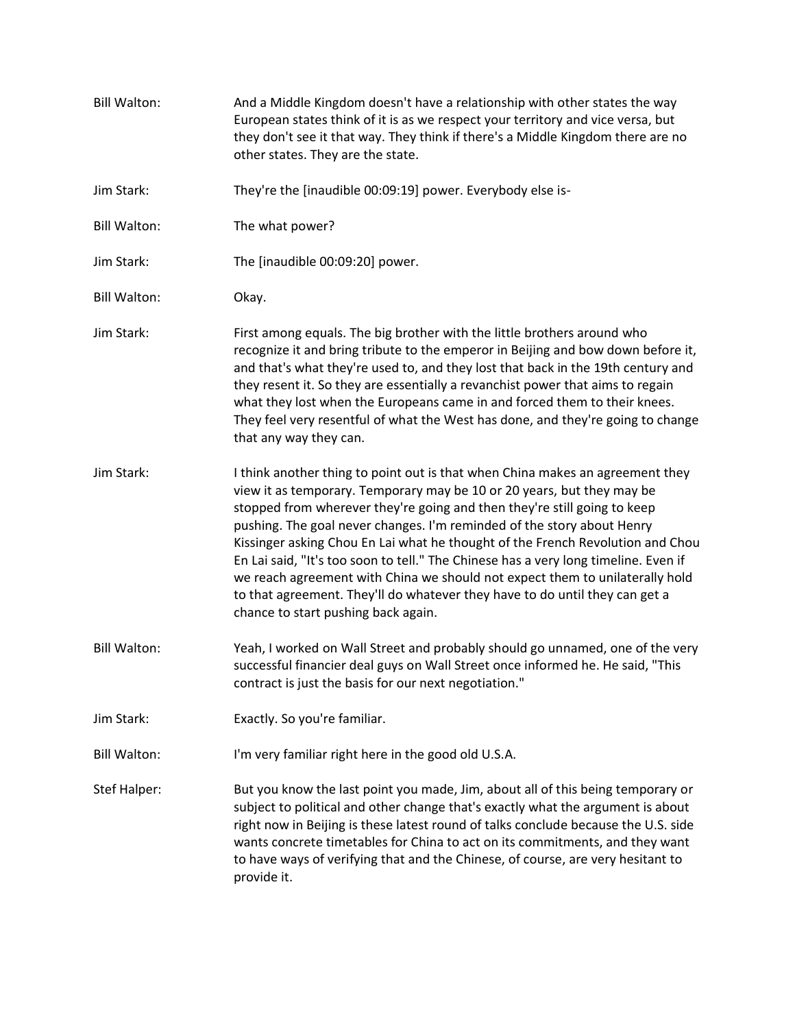Bill Walton: And a Middle Kingdom doesn't have a relationship with other states the way European states think of it is as we respect your territory and vice versa, but they don't see it that way. They think if there's a Middle Kingdom there are no other states. They are the state. Jim Stark: They're the [inaudible 00:09:19] power. Everybody else is-Bill Walton: The what power? Jim Stark: The [inaudible 00:09:20] power. Bill Walton: Okay. Jim Stark: First among equals. The big brother with the little brothers around who recognize it and bring tribute to the emperor in Beijing and bow down before it, and that's what they're used to, and they lost that back in the 19th century and they resent it. So they are essentially a revanchist power that aims to regain what they lost when the Europeans came in and forced them to their knees. They feel very resentful of what the West has done, and they're going to change that any way they can. Jim Stark: I think another thing to point out is that when China makes an agreement they view it as temporary. Temporary may be 10 or 20 years, but they may be stopped from wherever they're going and then they're still going to keep pushing. The goal never changes. I'm reminded of the story about Henry Kissinger asking Chou En Lai what he thought of the French Revolution and Chou En Lai said, "It's too soon to tell." The Chinese has a very long timeline. Even if we reach agreement with China we should not expect them to unilaterally hold to that agreement. They'll do whatever they have to do until they can get a chance to start pushing back again. Bill Walton: Yeah, I worked on Wall Street and probably should go unnamed, one of the very successful financier deal guys on Wall Street once informed he. He said, "This contract is just the basis for our next negotiation." Jim Stark: Exactly. So you're familiar. Bill Walton: I'm very familiar right here in the good old U.S.A. Stef Halper: But you know the last point you made, Jim, about all of this being temporary or subject to political and other change that's exactly what the argument is about right now in Beijing is these latest round of talks conclude because the U.S. side wants concrete timetables for China to act on its commitments, and they want to have ways of verifying that and the Chinese, of course, are very hesitant to provide it.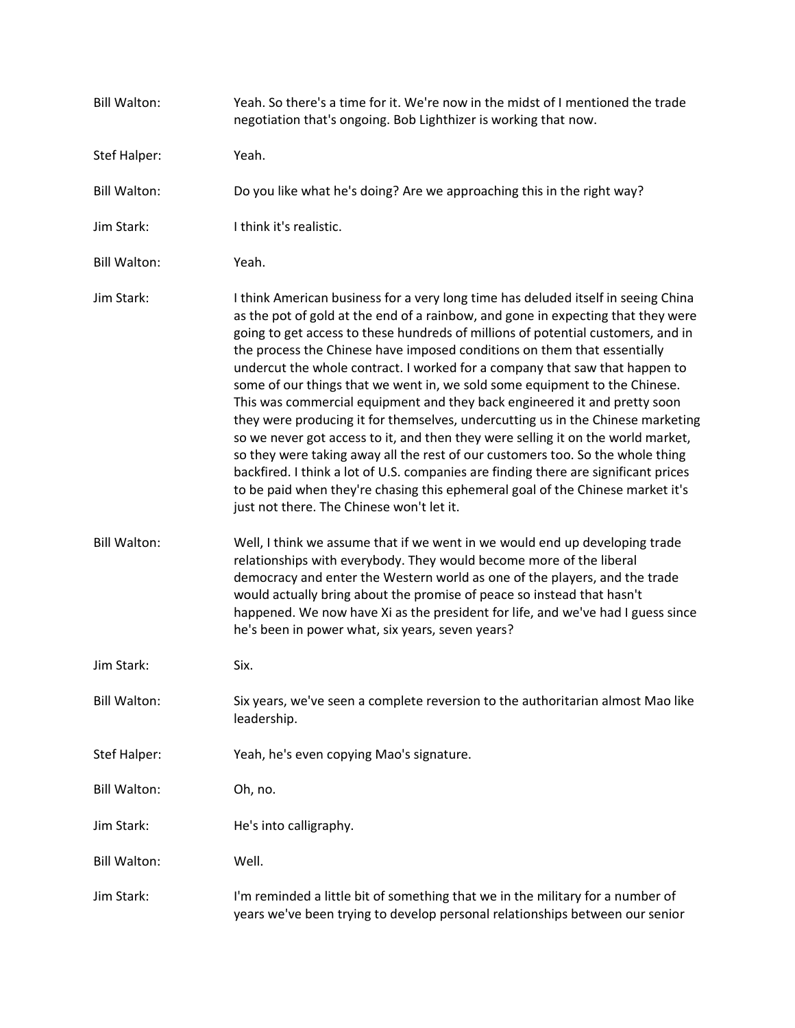| <b>Bill Walton:</b> | Yeah. So there's a time for it. We're now in the midst of I mentioned the trade<br>negotiation that's ongoing. Bob Lighthizer is working that now.                                                                                                                                                                                                                                                                                                                                                                                                                                                                                                                                                                                                                                                                                                                                                                                                                                                                                                             |
|---------------------|----------------------------------------------------------------------------------------------------------------------------------------------------------------------------------------------------------------------------------------------------------------------------------------------------------------------------------------------------------------------------------------------------------------------------------------------------------------------------------------------------------------------------------------------------------------------------------------------------------------------------------------------------------------------------------------------------------------------------------------------------------------------------------------------------------------------------------------------------------------------------------------------------------------------------------------------------------------------------------------------------------------------------------------------------------------|
| Stef Halper:        | Yeah.                                                                                                                                                                                                                                                                                                                                                                                                                                                                                                                                                                                                                                                                                                                                                                                                                                                                                                                                                                                                                                                          |
| <b>Bill Walton:</b> | Do you like what he's doing? Are we approaching this in the right way?                                                                                                                                                                                                                                                                                                                                                                                                                                                                                                                                                                                                                                                                                                                                                                                                                                                                                                                                                                                         |
| Jim Stark:          | I think it's realistic.                                                                                                                                                                                                                                                                                                                                                                                                                                                                                                                                                                                                                                                                                                                                                                                                                                                                                                                                                                                                                                        |
| <b>Bill Walton:</b> | Yeah.                                                                                                                                                                                                                                                                                                                                                                                                                                                                                                                                                                                                                                                                                                                                                                                                                                                                                                                                                                                                                                                          |
| Jim Stark:          | I think American business for a very long time has deluded itself in seeing China<br>as the pot of gold at the end of a rainbow, and gone in expecting that they were<br>going to get access to these hundreds of millions of potential customers, and in<br>the process the Chinese have imposed conditions on them that essentially<br>undercut the whole contract. I worked for a company that saw that happen to<br>some of our things that we went in, we sold some equipment to the Chinese.<br>This was commercial equipment and they back engineered it and pretty soon<br>they were producing it for themselves, undercutting us in the Chinese marketing<br>so we never got access to it, and then they were selling it on the world market,<br>so they were taking away all the rest of our customers too. So the whole thing<br>backfired. I think a lot of U.S. companies are finding there are significant prices<br>to be paid when they're chasing this ephemeral goal of the Chinese market it's<br>just not there. The Chinese won't let it. |
| <b>Bill Walton:</b> | Well, I think we assume that if we went in we would end up developing trade<br>relationships with everybody. They would become more of the liberal<br>democracy and enter the Western world as one of the players, and the trade<br>would actually bring about the promise of peace so instead that hasn't<br>happened. We now have Xi as the president for life, and we've had I guess since<br>he's been in power what, six years, seven years?                                                                                                                                                                                                                                                                                                                                                                                                                                                                                                                                                                                                              |
| Jim Stark:          | Six.                                                                                                                                                                                                                                                                                                                                                                                                                                                                                                                                                                                                                                                                                                                                                                                                                                                                                                                                                                                                                                                           |
| <b>Bill Walton:</b> | Six years, we've seen a complete reversion to the authoritarian almost Mao like<br>leadership.                                                                                                                                                                                                                                                                                                                                                                                                                                                                                                                                                                                                                                                                                                                                                                                                                                                                                                                                                                 |
| Stef Halper:        | Yeah, he's even copying Mao's signature.                                                                                                                                                                                                                                                                                                                                                                                                                                                                                                                                                                                                                                                                                                                                                                                                                                                                                                                                                                                                                       |
| <b>Bill Walton:</b> | Oh, no.                                                                                                                                                                                                                                                                                                                                                                                                                                                                                                                                                                                                                                                                                                                                                                                                                                                                                                                                                                                                                                                        |
| Jim Stark:          | He's into calligraphy.                                                                                                                                                                                                                                                                                                                                                                                                                                                                                                                                                                                                                                                                                                                                                                                                                                                                                                                                                                                                                                         |
| <b>Bill Walton:</b> | Well.                                                                                                                                                                                                                                                                                                                                                                                                                                                                                                                                                                                                                                                                                                                                                                                                                                                                                                                                                                                                                                                          |
| Jim Stark:          | I'm reminded a little bit of something that we in the military for a number of<br>years we've been trying to develop personal relationships between our senior                                                                                                                                                                                                                                                                                                                                                                                                                                                                                                                                                                                                                                                                                                                                                                                                                                                                                                 |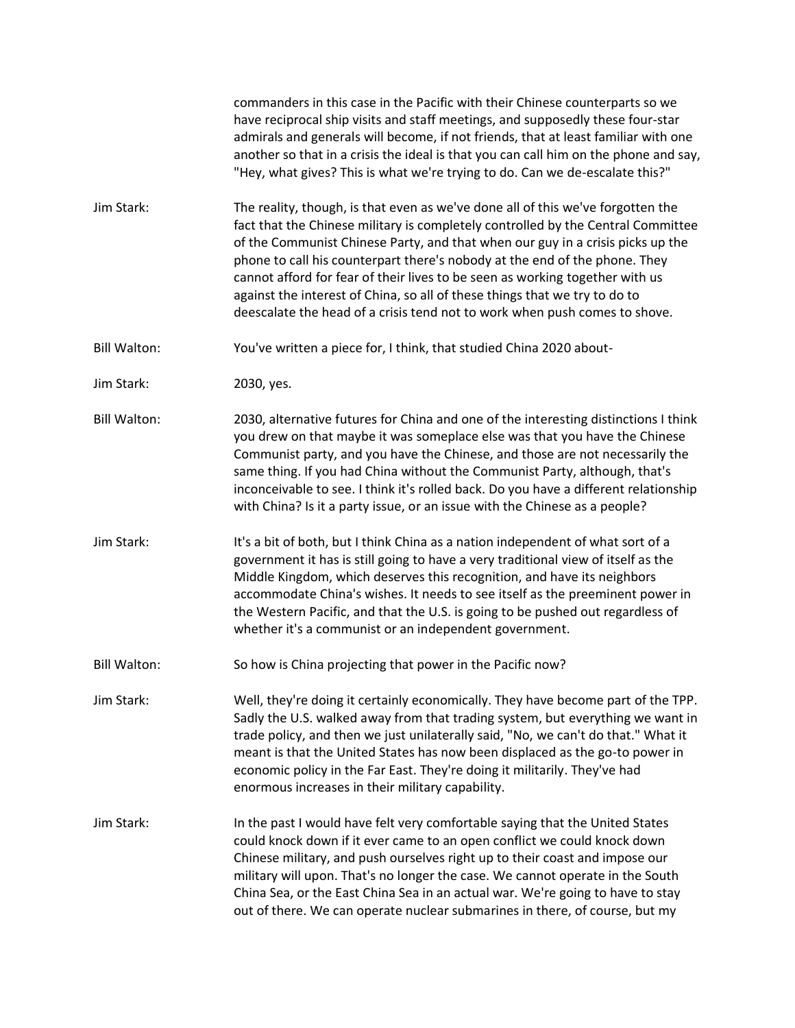commanders in this case in the Pacific with their Chinese counterparts so we have reciprocal ship visits and staff meetings, and supposedly these four-star admirals and generals will become, if not friends, that at least familiar with one another so that in a crisis the ideal is that you can call him on the phone and say, "Hey, what gives? This is what we're trying to do. Can we de-escalate this?"

Jim Stark: The reality, though, is that even as we've done all of this we've forgotten the fact that the Chinese military is completely controlled by the Central Committee of the Communist Chinese Party, and that when our guy in a crisis picks up the phone to call his counterpart there's nobody at the end of the phone. They cannot afford for fear of their lives to be seen as working together with us against the interest of China, so all of these things that we try to do to deescalate the head of a crisis tend not to work when push comes to shove.

Bill Walton: You've written a piece for, I think, that studied China 2020 about-

Jim Stark: 2030, yes.

Bill Walton: 2030, alternative futures for China and one of the interesting distinctions I think you drew on that maybe it was someplace else was that you have the Chinese Communist party, and you have the Chinese, and those are not necessarily the same thing. If you had China without the Communist Party, although, that's inconceivable to see. I think it's rolled back. Do you have a different relationship with China? Is it a party issue, or an issue with the Chinese as a people?

Jim Stark: It's a bit of both, but I think China as a nation independent of what sort of a government it has is still going to have a very traditional view of itself as the Middle Kingdom, which deserves this recognition, and have its neighbors accommodate China's wishes. It needs to see itself as the preeminent power in the Western Pacific, and that the U.S. is going to be pushed out regardless of whether it's a communist or an independent government.

Bill Walton: So how is China projecting that power in the Pacific now?

Jim Stark: Well, they're doing it certainly economically. They have become part of the TPP. Sadly the U.S. walked away from that trading system, but everything we want in trade policy, and then we just unilaterally said, "No, we can't do that." What it meant is that the United States has now been displaced as the go-to power in economic policy in the Far East. They're doing it militarily. They've had enormous increases in their military capability.

Jim Stark: In the past I would have felt very comfortable saying that the United States could knock down if it ever came to an open conflict we could knock down Chinese military, and push ourselves right up to their coast and impose our military will upon. That's no longer the case. We cannot operate in the South China Sea, or the East China Sea in an actual war. We're going to have to stay out of there. We can operate nuclear submarines in there, of course, but my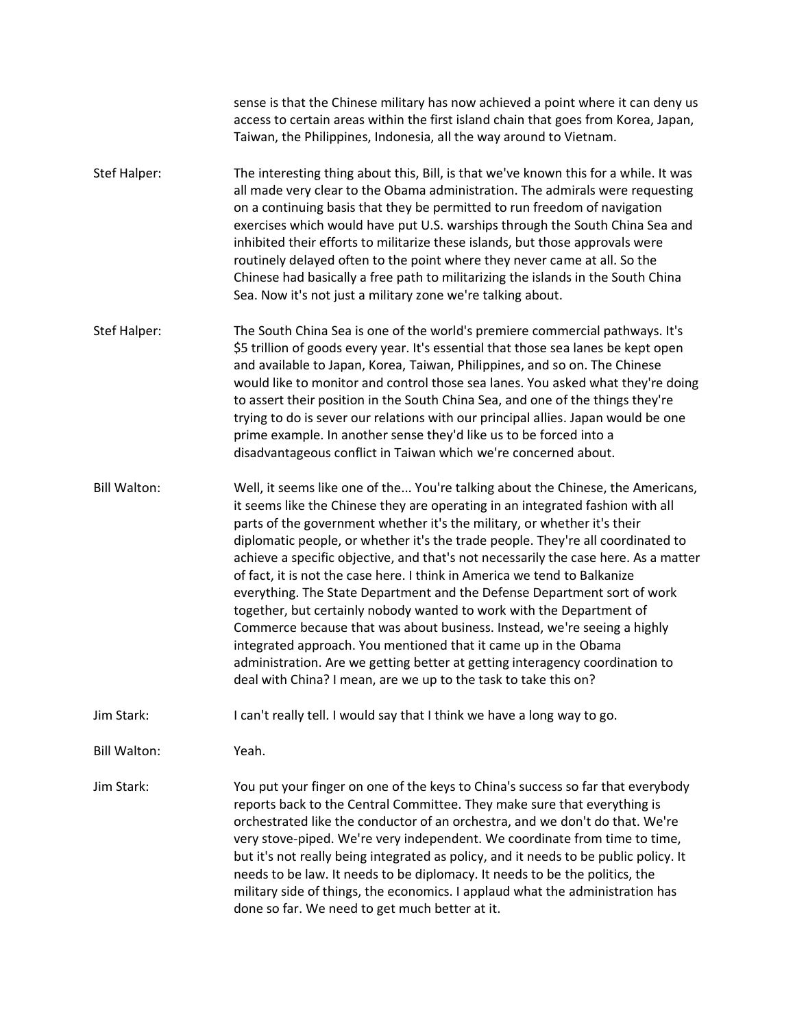sense is that the Chinese military has now achieved a point where it can deny us access to certain areas within the first island chain that goes from Korea, Japan, Taiwan, the Philippines, Indonesia, all the way around to Vietnam.

- Stef Halper: The interesting thing about this, Bill, is that we've known this for a while. It was all made very clear to the Obama administration. The admirals were requesting on a continuing basis that they be permitted to run freedom of navigation exercises which would have put U.S. warships through the South China Sea and inhibited their efforts to militarize these islands, but those approvals were routinely delayed often to the point where they never came at all. So the Chinese had basically a free path to militarizing the islands in the South China Sea. Now it's not just a military zone we're talking about.
- Stef Halper: The South China Sea is one of the world's premiere commercial pathways. It's \$5 trillion of goods every year. It's essential that those sea lanes be kept open and available to Japan, Korea, Taiwan, Philippines, and so on. The Chinese would like to monitor and control those sea lanes. You asked what they're doing to assert their position in the South China Sea, and one of the things they're trying to do is sever our relations with our principal allies. Japan would be one prime example. In another sense they'd like us to be forced into a disadvantageous conflict in Taiwan which we're concerned about.

Bill Walton: Well, it seems like one of the... You're talking about the Chinese, the Americans, it seems like the Chinese they are operating in an integrated fashion with all parts of the government whether it's the military, or whether it's their diplomatic people, or whether it's the trade people. They're all coordinated to achieve a specific objective, and that's not necessarily the case here. As a matter of fact, it is not the case here. I think in America we tend to Balkanize everything. The State Department and the Defense Department sort of work together, but certainly nobody wanted to work with the Department of Commerce because that was about business. Instead, we're seeing a highly integrated approach. You mentioned that it came up in the Obama administration. Are we getting better at getting interagency coordination to deal with China? I mean, are we up to the task to take this on?

Jim Stark: I can't really tell. I would say that I think we have a long way to go.

Bill Walton: Yeah.

Jim Stark: You put your finger on one of the keys to China's success so far that everybody reports back to the Central Committee. They make sure that everything is orchestrated like the conductor of an orchestra, and we don't do that. We're very stove-piped. We're very independent. We coordinate from time to time, but it's not really being integrated as policy, and it needs to be public policy. It needs to be law. It needs to be diplomacy. It needs to be the politics, the military side of things, the economics. I applaud what the administration has done so far. We need to get much better at it.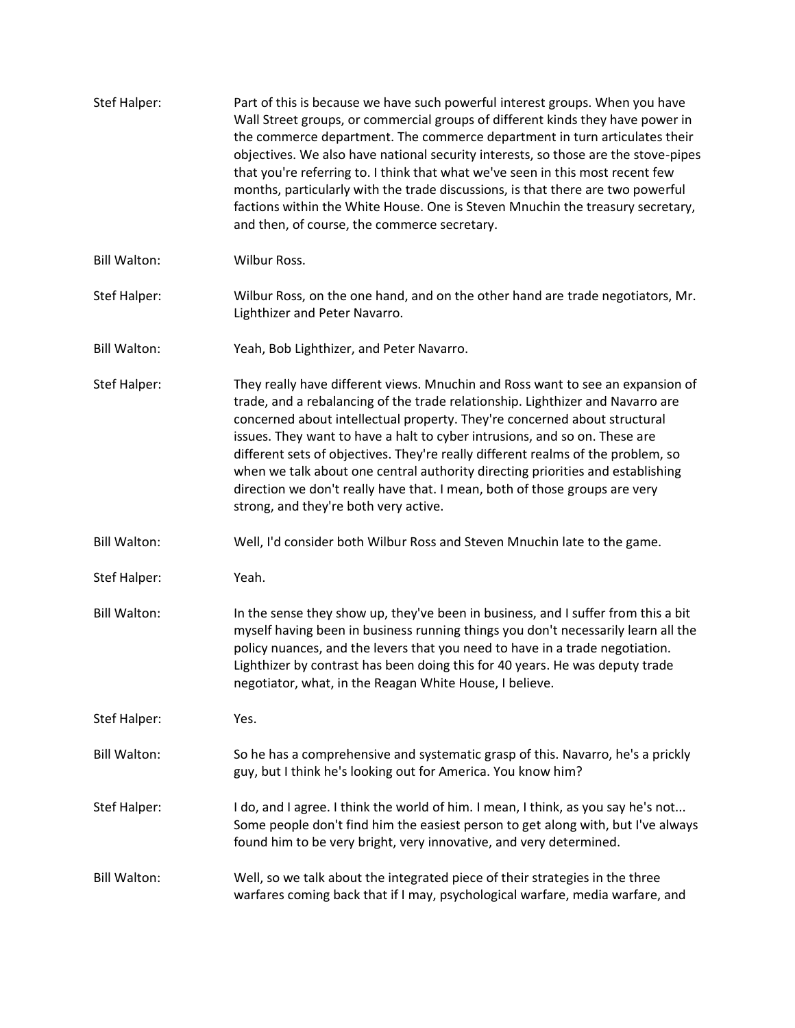| Stef Halper:        | Part of this is because we have such powerful interest groups. When you have<br>Wall Street groups, or commercial groups of different kinds they have power in<br>the commerce department. The commerce department in turn articulates their<br>objectives. We also have national security interests, so those are the stove-pipes<br>that you're referring to. I think that what we've seen in this most recent few<br>months, particularly with the trade discussions, is that there are two powerful<br>factions within the White House. One is Steven Mnuchin the treasury secretary,<br>and then, of course, the commerce secretary. |
|---------------------|-------------------------------------------------------------------------------------------------------------------------------------------------------------------------------------------------------------------------------------------------------------------------------------------------------------------------------------------------------------------------------------------------------------------------------------------------------------------------------------------------------------------------------------------------------------------------------------------------------------------------------------------|
| <b>Bill Walton:</b> | Wilbur Ross.                                                                                                                                                                                                                                                                                                                                                                                                                                                                                                                                                                                                                              |
| Stef Halper:        | Wilbur Ross, on the one hand, and on the other hand are trade negotiators, Mr.<br>Lighthizer and Peter Navarro.                                                                                                                                                                                                                                                                                                                                                                                                                                                                                                                           |
| <b>Bill Walton:</b> | Yeah, Bob Lighthizer, and Peter Navarro.                                                                                                                                                                                                                                                                                                                                                                                                                                                                                                                                                                                                  |
| Stef Halper:        | They really have different views. Mnuchin and Ross want to see an expansion of<br>trade, and a rebalancing of the trade relationship. Lighthizer and Navarro are<br>concerned about intellectual property. They're concerned about structural<br>issues. They want to have a halt to cyber intrusions, and so on. These are<br>different sets of objectives. They're really different realms of the problem, so<br>when we talk about one central authority directing priorities and establishing<br>direction we don't really have that. I mean, both of those groups are very<br>strong, and they're both very active.                  |
| <b>Bill Walton:</b> | Well, I'd consider both Wilbur Ross and Steven Mnuchin late to the game.                                                                                                                                                                                                                                                                                                                                                                                                                                                                                                                                                                  |
| Stef Halper:        | Yeah.                                                                                                                                                                                                                                                                                                                                                                                                                                                                                                                                                                                                                                     |
| <b>Bill Walton:</b> | In the sense they show up, they've been in business, and I suffer from this a bit<br>myself having been in business running things you don't necessarily learn all the<br>policy nuances, and the levers that you need to have in a trade negotiation.<br>Lighthizer by contrast has been doing this for 40 years. He was deputy trade<br>negotiator, what, in the Reagan White House, I believe.                                                                                                                                                                                                                                         |
| Stef Halper:        | Yes.                                                                                                                                                                                                                                                                                                                                                                                                                                                                                                                                                                                                                                      |
| <b>Bill Walton:</b> | So he has a comprehensive and systematic grasp of this. Navarro, he's a prickly<br>guy, but I think he's looking out for America. You know him?                                                                                                                                                                                                                                                                                                                                                                                                                                                                                           |
| Stef Halper:        | I do, and I agree. I think the world of him. I mean, I think, as you say he's not<br>Some people don't find him the easiest person to get along with, but I've always<br>found him to be very bright, very innovative, and very determined.                                                                                                                                                                                                                                                                                                                                                                                               |
| <b>Bill Walton:</b> | Well, so we talk about the integrated piece of their strategies in the three<br>warfares coming back that if I may, psychological warfare, media warfare, and                                                                                                                                                                                                                                                                                                                                                                                                                                                                             |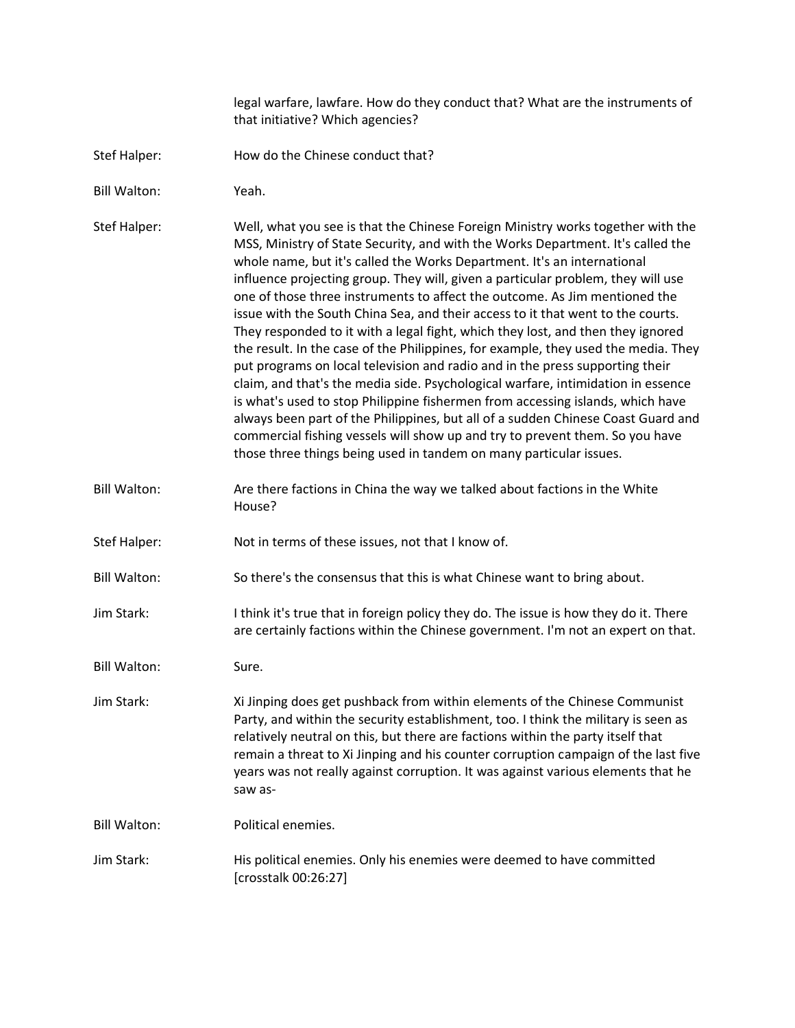legal warfare, lawfare. How do they conduct that? What are the instruments of that initiative? Which agencies?

- Stef Halper: How do the Chinese conduct that?
- Bill Walton: Yeah.

Stef Halper: Well, what you see is that the Chinese Foreign Ministry works together with the MSS, Ministry of State Security, and with the Works Department. It's called the whole name, but it's called the Works Department. It's an international influence projecting group. They will, given a particular problem, they will use one of those three instruments to affect the outcome. As Jim mentioned the issue with the South China Sea, and their access to it that went to the courts. They responded to it with a legal fight, which they lost, and then they ignored the result. In the case of the Philippines, for example, they used the media. They put programs on local television and radio and in the press supporting their claim, and that's the media side. Psychological warfare, intimidation in essence is what's used to stop Philippine fishermen from accessing islands, which have always been part of the Philippines, but all of a sudden Chinese Coast Guard and commercial fishing vessels will show up and try to prevent them. So you have those three things being used in tandem on many particular issues.

Bill Walton: Are there factions in China the way we talked about factions in the White House?

Stef Halper: Not in terms of these issues, not that I know of.

Bill Walton: So there's the consensus that this is what Chinese want to bring about.

Jim Stark: I think it's true that in foreign policy they do. The issue is how they do it. There are certainly factions within the Chinese government. I'm not an expert on that.

Bill Walton: Sure.

Jim Stark: Xi Jinping does get pushback from within elements of the Chinese Communist Party, and within the security establishment, too. I think the military is seen as relatively neutral on this, but there are factions within the party itself that remain a threat to Xi Jinping and his counter corruption campaign of the last five years was not really against corruption. It was against various elements that he saw as-

Bill Walton: Political enemies.

Jim Stark: His political enemies. Only his enemies were deemed to have committed [crosstalk 00:26:27]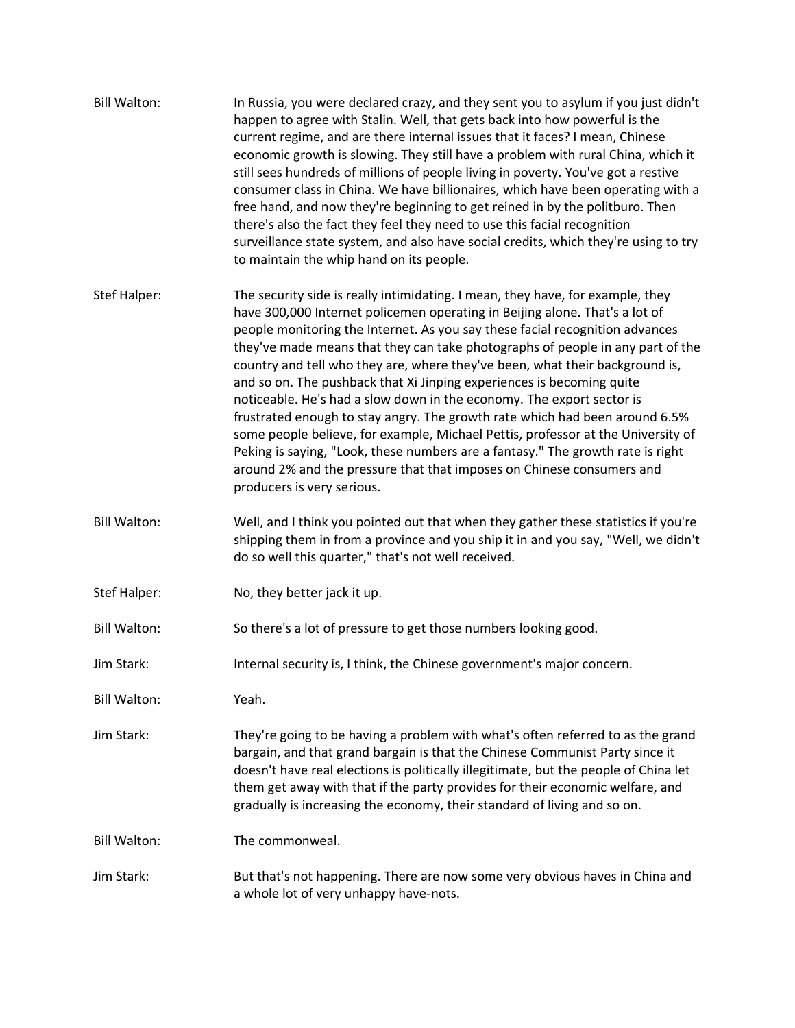| <b>Bill Walton:</b> | In Russia, you were declared crazy, and they sent you to asylum if you just didn't<br>happen to agree with Stalin. Well, that gets back into how powerful is the<br>current regime, and are there internal issues that it faces? I mean, Chinese<br>economic growth is slowing. They still have a problem with rural China, which it<br>still sees hundreds of millions of people living in poverty. You've got a restive<br>consumer class in China. We have billionaires, which have been operating with a<br>free hand, and now they're beginning to get reined in by the politburo. Then<br>there's also the fact they feel they need to use this facial recognition<br>surveillance state system, and also have social credits, which they're using to try<br>to maintain the whip hand on its people.                                                                                                                    |
|---------------------|--------------------------------------------------------------------------------------------------------------------------------------------------------------------------------------------------------------------------------------------------------------------------------------------------------------------------------------------------------------------------------------------------------------------------------------------------------------------------------------------------------------------------------------------------------------------------------------------------------------------------------------------------------------------------------------------------------------------------------------------------------------------------------------------------------------------------------------------------------------------------------------------------------------------------------|
| Stef Halper:        | The security side is really intimidating. I mean, they have, for example, they<br>have 300,000 Internet policemen operating in Beijing alone. That's a lot of<br>people monitoring the Internet. As you say these facial recognition advances<br>they've made means that they can take photographs of people in any part of the<br>country and tell who they are, where they've been, what their background is,<br>and so on. The pushback that Xi Jinping experiences is becoming quite<br>noticeable. He's had a slow down in the economy. The export sector is<br>frustrated enough to stay angry. The growth rate which had been around 6.5%<br>some people believe, for example, Michael Pettis, professor at the University of<br>Peking is saying, "Look, these numbers are a fantasy." The growth rate is right<br>around 2% and the pressure that that imposes on Chinese consumers and<br>producers is very serious. |
| <b>Bill Walton:</b> | Well, and I think you pointed out that when they gather these statistics if you're<br>shipping them in from a province and you ship it in and you say, "Well, we didn't<br>do so well this quarter," that's not well received.                                                                                                                                                                                                                                                                                                                                                                                                                                                                                                                                                                                                                                                                                                 |
| Stef Halper:        | No, they better jack it up.                                                                                                                                                                                                                                                                                                                                                                                                                                                                                                                                                                                                                                                                                                                                                                                                                                                                                                    |
| <b>Bill Walton:</b> | So there's a lot of pressure to get those numbers looking good.                                                                                                                                                                                                                                                                                                                                                                                                                                                                                                                                                                                                                                                                                                                                                                                                                                                                |
| Jim Stark:          | Internal security is, I think, the Chinese government's major concern.                                                                                                                                                                                                                                                                                                                                                                                                                                                                                                                                                                                                                                                                                                                                                                                                                                                         |
| <b>Bill Walton:</b> | Yeah.                                                                                                                                                                                                                                                                                                                                                                                                                                                                                                                                                                                                                                                                                                                                                                                                                                                                                                                          |
| Jim Stark:          | They're going to be having a problem with what's often referred to as the grand<br>bargain, and that grand bargain is that the Chinese Communist Party since it<br>doesn't have real elections is politically illegitimate, but the people of China let<br>them get away with that if the party provides for their economic welfare, and<br>gradually is increasing the economy, their standard of living and so on.                                                                                                                                                                                                                                                                                                                                                                                                                                                                                                           |
| <b>Bill Walton:</b> | The commonweal.                                                                                                                                                                                                                                                                                                                                                                                                                                                                                                                                                                                                                                                                                                                                                                                                                                                                                                                |
| Jim Stark:          | But that's not happening. There are now some very obvious haves in China and<br>a whole lot of very unhappy have-nots.                                                                                                                                                                                                                                                                                                                                                                                                                                                                                                                                                                                                                                                                                                                                                                                                         |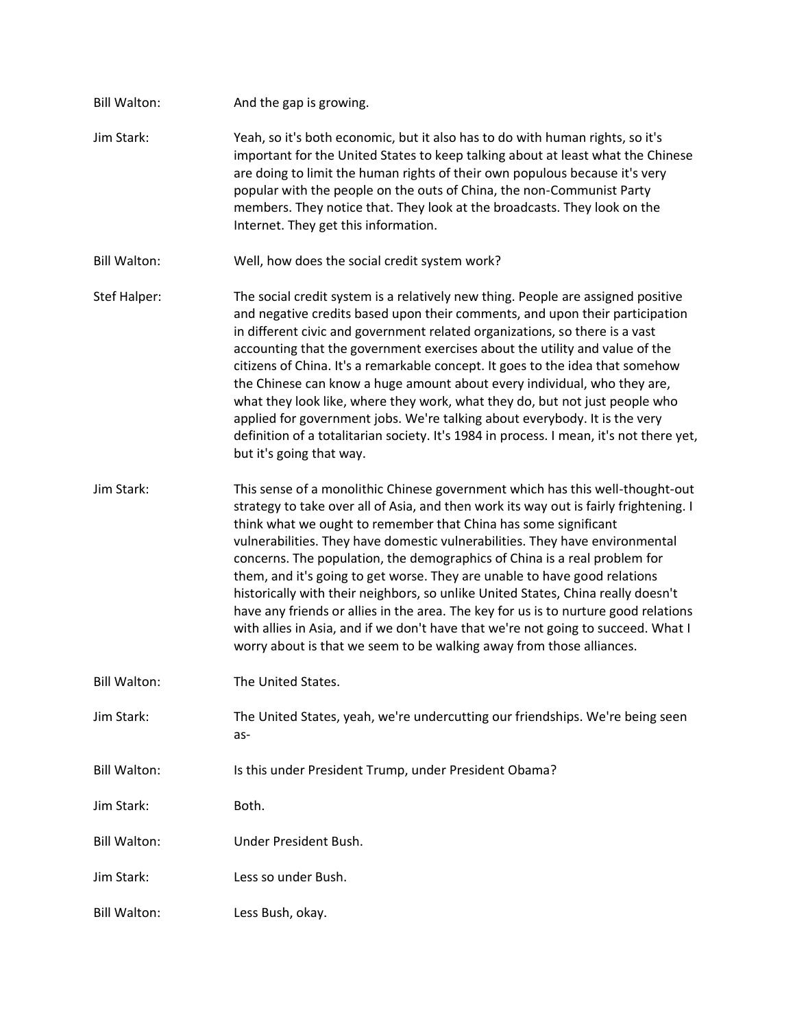Bill Walton: And the gap is growing. Jim Stark: Yeah, so it's both economic, but it also has to do with human rights, so it's important for the United States to keep talking about at least what the Chinese are doing to limit the human rights of their own populous because it's very popular with the people on the outs of China, the non-Communist Party members. They notice that. They look at the broadcasts. They look on the Internet. They get this information. Bill Walton: Well, how does the social credit system work? Stef Halper: The social credit system is a relatively new thing. People are assigned positive and negative credits based upon their comments, and upon their participation in different civic and government related organizations, so there is a vast accounting that the government exercises about the utility and value of the citizens of China. It's a remarkable concept. It goes to the idea that somehow the Chinese can know a huge amount about every individual, who they are, what they look like, where they work, what they do, but not just people who applied for government jobs. We're talking about everybody. It is the very definition of a totalitarian society. It's 1984 in process. I mean, it's not there yet, but it's going that way. Jim Stark: This sense of a monolithic Chinese government which has this well-thought-out strategy to take over all of Asia, and then work its way out is fairly frightening. I think what we ought to remember that China has some significant vulnerabilities. They have domestic vulnerabilities. They have environmental concerns. The population, the demographics of China is a real problem for them, and it's going to get worse. They are unable to have good relations historically with their neighbors, so unlike United States, China really doesn't have any friends or allies in the area. The key for us is to nurture good relations with allies in Asia, and if we don't have that we're not going to succeed. What I worry about is that we seem to be walking away from those alliances. Bill Walton: The United States. Jim Stark: The United States, yeah, we're undercutting our friendships. We're being seen as-Bill Walton: Is this under President Trump, under President Obama? Jim Stark: Both. Bill Walton: Under President Bush. Jim Stark: Less so under Bush. Bill Walton: Less Bush, okay.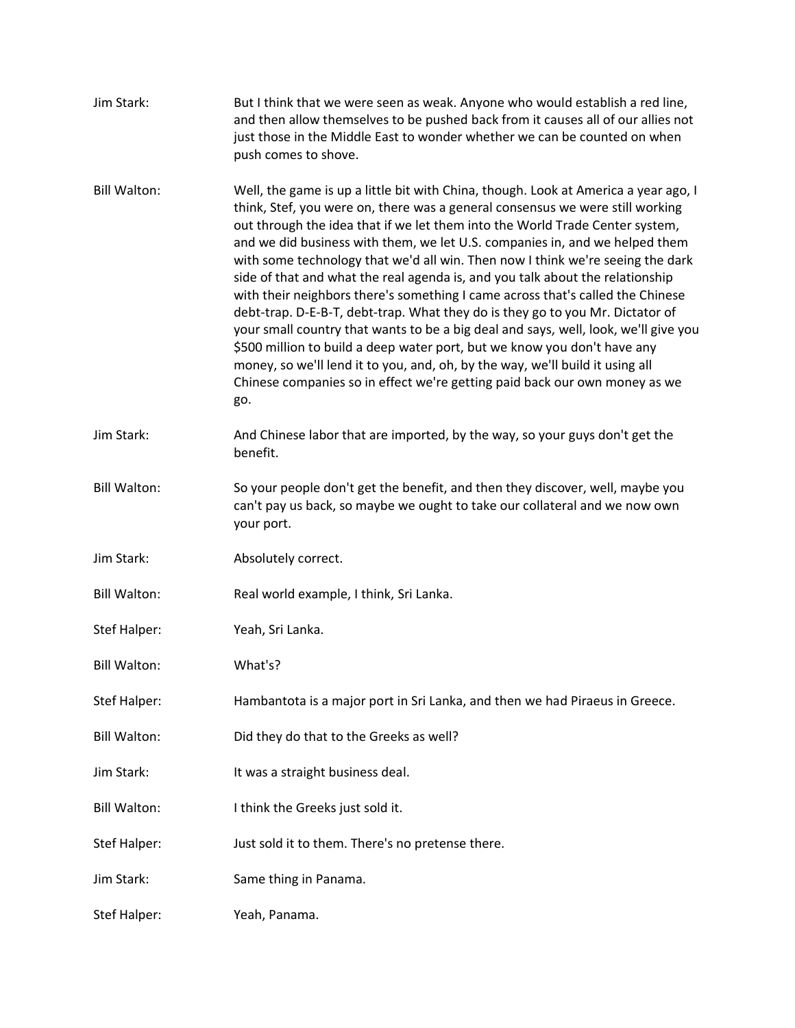| Jim Stark:          | But I think that we were seen as weak. Anyone who would establish a red line,<br>and then allow themselves to be pushed back from it causes all of our allies not<br>just those in the Middle East to wonder whether we can be counted on when<br>push comes to shove.                                                                                                                                                                                                                                                                                                                                                                                                                                                                                                                                                                                                                                                                                                                                             |
|---------------------|--------------------------------------------------------------------------------------------------------------------------------------------------------------------------------------------------------------------------------------------------------------------------------------------------------------------------------------------------------------------------------------------------------------------------------------------------------------------------------------------------------------------------------------------------------------------------------------------------------------------------------------------------------------------------------------------------------------------------------------------------------------------------------------------------------------------------------------------------------------------------------------------------------------------------------------------------------------------------------------------------------------------|
| <b>Bill Walton:</b> | Well, the game is up a little bit with China, though. Look at America a year ago, I<br>think, Stef, you were on, there was a general consensus we were still working<br>out through the idea that if we let them into the World Trade Center system,<br>and we did business with them, we let U.S. companies in, and we helped them<br>with some technology that we'd all win. Then now I think we're seeing the dark<br>side of that and what the real agenda is, and you talk about the relationship<br>with their neighbors there's something I came across that's called the Chinese<br>debt-trap. D-E-B-T, debt-trap. What they do is they go to you Mr. Dictator of<br>your small country that wants to be a big deal and says, well, look, we'll give you<br>\$500 million to build a deep water port, but we know you don't have any<br>money, so we'll lend it to you, and, oh, by the way, we'll build it using all<br>Chinese companies so in effect we're getting paid back our own money as we<br>go. |
| Jim Stark:          | And Chinese labor that are imported, by the way, so your guys don't get the<br>benefit.                                                                                                                                                                                                                                                                                                                                                                                                                                                                                                                                                                                                                                                                                                                                                                                                                                                                                                                            |
| <b>Bill Walton:</b> | So your people don't get the benefit, and then they discover, well, maybe you<br>can't pay us back, so maybe we ought to take our collateral and we now own<br>your port.                                                                                                                                                                                                                                                                                                                                                                                                                                                                                                                                                                                                                                                                                                                                                                                                                                          |
| Jim Stark:          | Absolutely correct.                                                                                                                                                                                                                                                                                                                                                                                                                                                                                                                                                                                                                                                                                                                                                                                                                                                                                                                                                                                                |
| <b>Bill Walton:</b> | Real world example, I think, Sri Lanka.                                                                                                                                                                                                                                                                                                                                                                                                                                                                                                                                                                                                                                                                                                                                                                                                                                                                                                                                                                            |
| Stef Halper:        | Yeah, Sri Lanka.                                                                                                                                                                                                                                                                                                                                                                                                                                                                                                                                                                                                                                                                                                                                                                                                                                                                                                                                                                                                   |
| <b>Bill Walton:</b> | What's?                                                                                                                                                                                                                                                                                                                                                                                                                                                                                                                                                                                                                                                                                                                                                                                                                                                                                                                                                                                                            |
| Stef Halper:        | Hambantota is a major port in Sri Lanka, and then we had Piraeus in Greece.                                                                                                                                                                                                                                                                                                                                                                                                                                                                                                                                                                                                                                                                                                                                                                                                                                                                                                                                        |
| <b>Bill Walton:</b> | Did they do that to the Greeks as well?                                                                                                                                                                                                                                                                                                                                                                                                                                                                                                                                                                                                                                                                                                                                                                                                                                                                                                                                                                            |
| Jim Stark:          | It was a straight business deal.                                                                                                                                                                                                                                                                                                                                                                                                                                                                                                                                                                                                                                                                                                                                                                                                                                                                                                                                                                                   |
| <b>Bill Walton:</b> | I think the Greeks just sold it.                                                                                                                                                                                                                                                                                                                                                                                                                                                                                                                                                                                                                                                                                                                                                                                                                                                                                                                                                                                   |
| Stef Halper:        | Just sold it to them. There's no pretense there.                                                                                                                                                                                                                                                                                                                                                                                                                                                                                                                                                                                                                                                                                                                                                                                                                                                                                                                                                                   |
| Jim Stark:          | Same thing in Panama.                                                                                                                                                                                                                                                                                                                                                                                                                                                                                                                                                                                                                                                                                                                                                                                                                                                                                                                                                                                              |
| Stef Halper:        | Yeah, Panama.                                                                                                                                                                                                                                                                                                                                                                                                                                                                                                                                                                                                                                                                                                                                                                                                                                                                                                                                                                                                      |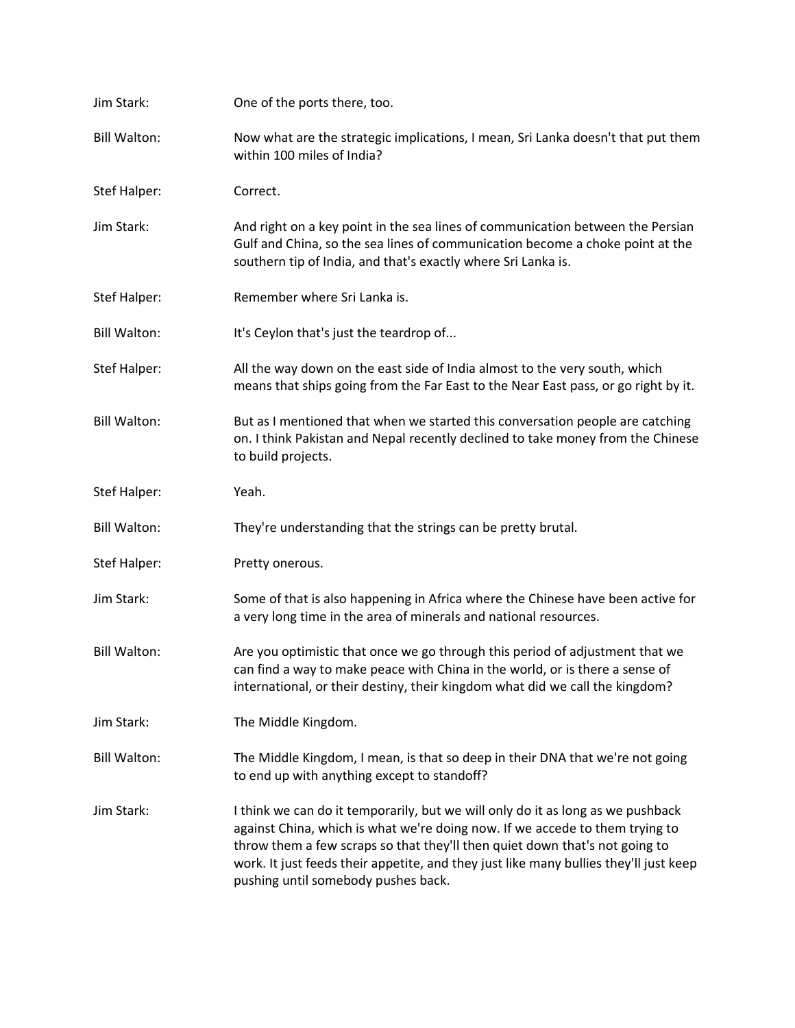| Jim Stark:          | One of the ports there, too.                                                                                                                                                                                                                                                                                                                                                   |
|---------------------|--------------------------------------------------------------------------------------------------------------------------------------------------------------------------------------------------------------------------------------------------------------------------------------------------------------------------------------------------------------------------------|
| <b>Bill Walton:</b> | Now what are the strategic implications, I mean, Sri Lanka doesn't that put them<br>within 100 miles of India?                                                                                                                                                                                                                                                                 |
| Stef Halper:        | Correct.                                                                                                                                                                                                                                                                                                                                                                       |
| Jim Stark:          | And right on a key point in the sea lines of communication between the Persian<br>Gulf and China, so the sea lines of communication become a choke point at the<br>southern tip of India, and that's exactly where Sri Lanka is.                                                                                                                                               |
| Stef Halper:        | Remember where Sri Lanka is.                                                                                                                                                                                                                                                                                                                                                   |
| <b>Bill Walton:</b> | It's Ceylon that's just the teardrop of                                                                                                                                                                                                                                                                                                                                        |
| Stef Halper:        | All the way down on the east side of India almost to the very south, which<br>means that ships going from the Far East to the Near East pass, or go right by it.                                                                                                                                                                                                               |
| <b>Bill Walton:</b> | But as I mentioned that when we started this conversation people are catching<br>on. I think Pakistan and Nepal recently declined to take money from the Chinese<br>to build projects.                                                                                                                                                                                         |
| Stef Halper:        | Yeah.                                                                                                                                                                                                                                                                                                                                                                          |
| <b>Bill Walton:</b> | They're understanding that the strings can be pretty brutal.                                                                                                                                                                                                                                                                                                                   |
| Stef Halper:        | Pretty onerous.                                                                                                                                                                                                                                                                                                                                                                |
| Jim Stark:          | Some of that is also happening in Africa where the Chinese have been active for<br>a very long time in the area of minerals and national resources.                                                                                                                                                                                                                            |
| <b>Bill Walton:</b> | Are you optimistic that once we go through this period of adjustment that we<br>can find a way to make peace with China in the world, or is there a sense of<br>international, or their destiny, their kingdom what did we call the kingdom?                                                                                                                                   |
| Jim Stark:          | The Middle Kingdom.                                                                                                                                                                                                                                                                                                                                                            |
| <b>Bill Walton:</b> | The Middle Kingdom, I mean, is that so deep in their DNA that we're not going<br>to end up with anything except to standoff?                                                                                                                                                                                                                                                   |
| Jim Stark:          | I think we can do it temporarily, but we will only do it as long as we pushback<br>against China, which is what we're doing now. If we accede to them trying to<br>throw them a few scraps so that they'll then quiet down that's not going to<br>work. It just feeds their appetite, and they just like many bullies they'll just keep<br>pushing until somebody pushes back. |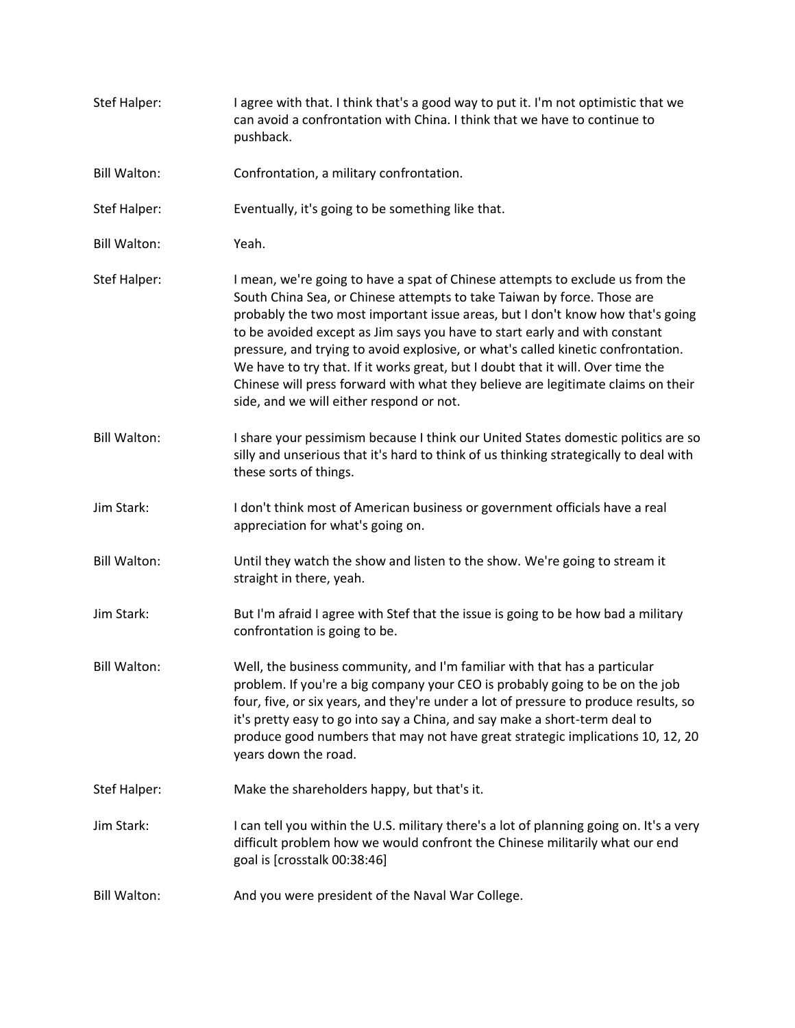| Stef Halper:        | I agree with that. I think that's a good way to put it. I'm not optimistic that we<br>can avoid a confrontation with China. I think that we have to continue to<br>pushback.                                                                                                                                                                                                                                                                                                                                                                                                                                                    |
|---------------------|---------------------------------------------------------------------------------------------------------------------------------------------------------------------------------------------------------------------------------------------------------------------------------------------------------------------------------------------------------------------------------------------------------------------------------------------------------------------------------------------------------------------------------------------------------------------------------------------------------------------------------|
| <b>Bill Walton:</b> | Confrontation, a military confrontation.                                                                                                                                                                                                                                                                                                                                                                                                                                                                                                                                                                                        |
| Stef Halper:        | Eventually, it's going to be something like that.                                                                                                                                                                                                                                                                                                                                                                                                                                                                                                                                                                               |
| <b>Bill Walton:</b> | Yeah.                                                                                                                                                                                                                                                                                                                                                                                                                                                                                                                                                                                                                           |
| <b>Stef Halper:</b> | I mean, we're going to have a spat of Chinese attempts to exclude us from the<br>South China Sea, or Chinese attempts to take Taiwan by force. Those are<br>probably the two most important issue areas, but I don't know how that's going<br>to be avoided except as Jim says you have to start early and with constant<br>pressure, and trying to avoid explosive, or what's called kinetic confrontation.<br>We have to try that. If it works great, but I doubt that it will. Over time the<br>Chinese will press forward with what they believe are legitimate claims on their<br>side, and we will either respond or not. |
| <b>Bill Walton:</b> | I share your pessimism because I think our United States domestic politics are so<br>silly and unserious that it's hard to think of us thinking strategically to deal with<br>these sorts of things.                                                                                                                                                                                                                                                                                                                                                                                                                            |
| Jim Stark:          | I don't think most of American business or government officials have a real<br>appreciation for what's going on.                                                                                                                                                                                                                                                                                                                                                                                                                                                                                                                |
| <b>Bill Walton:</b> | Until they watch the show and listen to the show. We're going to stream it<br>straight in there, yeah.                                                                                                                                                                                                                                                                                                                                                                                                                                                                                                                          |
| Jim Stark:          | But I'm afraid I agree with Stef that the issue is going to be how bad a military<br>confrontation is going to be.                                                                                                                                                                                                                                                                                                                                                                                                                                                                                                              |
| <b>Bill Walton:</b> | Well, the business community, and I'm familiar with that has a particular<br>problem. If you're a big company your CEO is probably going to be on the job<br>four, five, or six years, and they're under a lot of pressure to produce results, so<br>it's pretty easy to go into say a China, and say make a short-term deal to<br>produce good numbers that may not have great strategic implications 10, 12, 20<br>years down the road.                                                                                                                                                                                       |
| Stef Halper:        | Make the shareholders happy, but that's it.                                                                                                                                                                                                                                                                                                                                                                                                                                                                                                                                                                                     |
| Jim Stark:          | I can tell you within the U.S. military there's a lot of planning going on. It's a very<br>difficult problem how we would confront the Chinese militarily what our end<br>goal is [crosstalk 00:38:46]                                                                                                                                                                                                                                                                                                                                                                                                                          |
| <b>Bill Walton:</b> | And you were president of the Naval War College.                                                                                                                                                                                                                                                                                                                                                                                                                                                                                                                                                                                |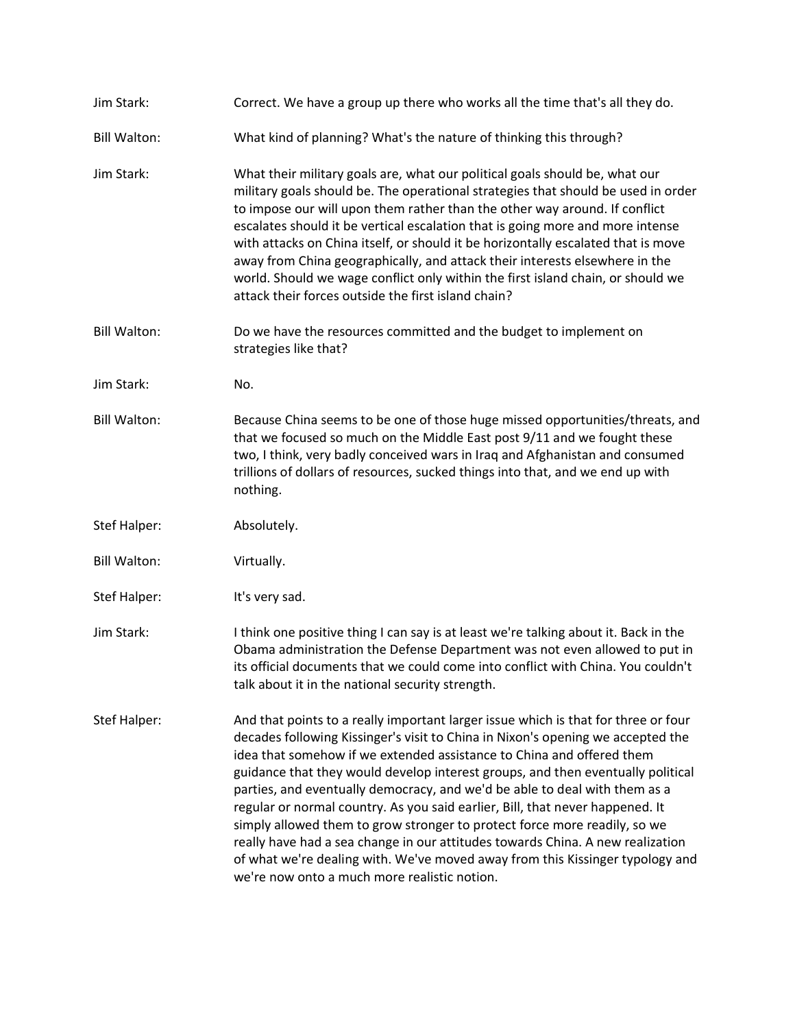| Jim Stark:          | Correct. We have a group up there who works all the time that's all they do.                                                                                                                                                                                                                                                                                                                                                                                                                                                                                                                                                                                                                                                                                                                     |
|---------------------|--------------------------------------------------------------------------------------------------------------------------------------------------------------------------------------------------------------------------------------------------------------------------------------------------------------------------------------------------------------------------------------------------------------------------------------------------------------------------------------------------------------------------------------------------------------------------------------------------------------------------------------------------------------------------------------------------------------------------------------------------------------------------------------------------|
| <b>Bill Walton:</b> | What kind of planning? What's the nature of thinking this through?                                                                                                                                                                                                                                                                                                                                                                                                                                                                                                                                                                                                                                                                                                                               |
| Jim Stark:          | What their military goals are, what our political goals should be, what our<br>military goals should be. The operational strategies that should be used in order<br>to impose our will upon them rather than the other way around. If conflict<br>escalates should it be vertical escalation that is going more and more intense<br>with attacks on China itself, or should it be horizontally escalated that is move<br>away from China geographically, and attack their interests elsewhere in the<br>world. Should we wage conflict only within the first island chain, or should we<br>attack their forces outside the first island chain?                                                                                                                                                   |
| <b>Bill Walton:</b> | Do we have the resources committed and the budget to implement on<br>strategies like that?                                                                                                                                                                                                                                                                                                                                                                                                                                                                                                                                                                                                                                                                                                       |
| Jim Stark:          | No.                                                                                                                                                                                                                                                                                                                                                                                                                                                                                                                                                                                                                                                                                                                                                                                              |
| <b>Bill Walton:</b> | Because China seems to be one of those huge missed opportunities/threats, and<br>that we focused so much on the Middle East post 9/11 and we fought these<br>two, I think, very badly conceived wars in Iraq and Afghanistan and consumed<br>trillions of dollars of resources, sucked things into that, and we end up with<br>nothing.                                                                                                                                                                                                                                                                                                                                                                                                                                                          |
| Stef Halper:        | Absolutely.                                                                                                                                                                                                                                                                                                                                                                                                                                                                                                                                                                                                                                                                                                                                                                                      |
| <b>Bill Walton:</b> | Virtually.                                                                                                                                                                                                                                                                                                                                                                                                                                                                                                                                                                                                                                                                                                                                                                                       |
| Stef Halper:        | It's very sad.                                                                                                                                                                                                                                                                                                                                                                                                                                                                                                                                                                                                                                                                                                                                                                                   |
| Jim Stark:          | I think one positive thing I can say is at least we're talking about it. Back in the<br>Obama administration the Defense Department was not even allowed to put in<br>its official documents that we could come into conflict with China. You couldn't<br>talk about it in the national security strength.                                                                                                                                                                                                                                                                                                                                                                                                                                                                                       |
| Stef Halper:        | And that points to a really important larger issue which is that for three or four<br>decades following Kissinger's visit to China in Nixon's opening we accepted the<br>idea that somehow if we extended assistance to China and offered them<br>guidance that they would develop interest groups, and then eventually political<br>parties, and eventually democracy, and we'd be able to deal with them as a<br>regular or normal country. As you said earlier, Bill, that never happened. It<br>simply allowed them to grow stronger to protect force more readily, so we<br>really have had a sea change in our attitudes towards China. A new realization<br>of what we're dealing with. We've moved away from this Kissinger typology and<br>we're now onto a much more realistic notion. |